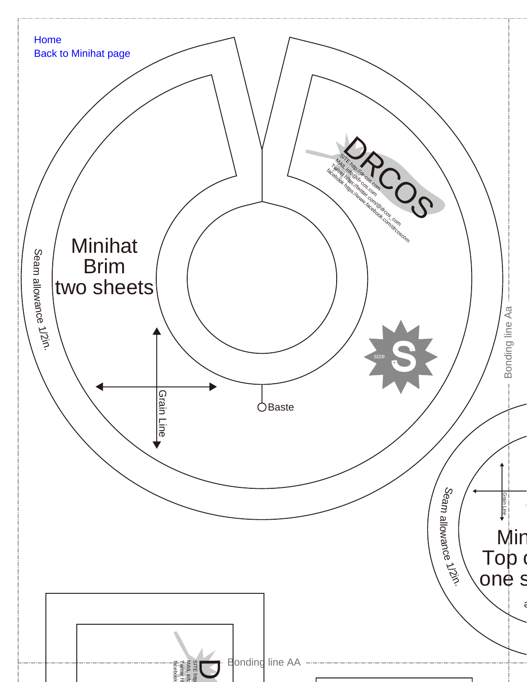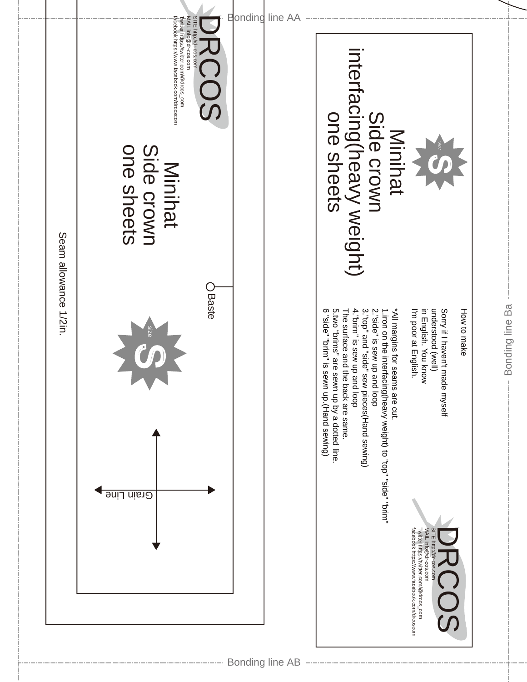